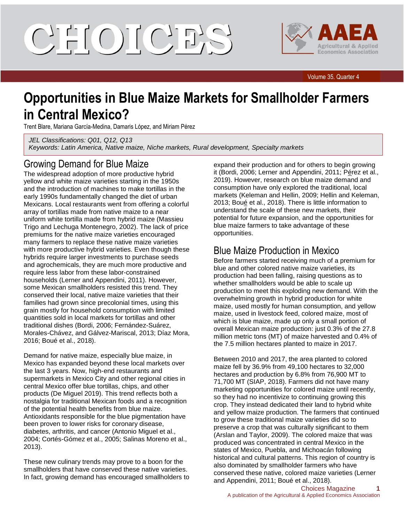CIELOILCIE'S



Volume 35, Quarter 4

# **Opportunities in Blue Maize Markets for Smallholder Farmers in Central Mexico?**

Trent Blare, Mariana García-Medina, Damaris López, and Miriam Pérez

*JEL Classifications: Q01, Q12, Q13 Keywords: Latin America, Native maize, Niche markets, Rural development, Specialty markets*

### Growing Demand for Blue Maize

The widespread adoption of more productive hybrid yellow and white maize varieties starting in the 1950s and the introduction of machines to make tortillas in the early 1990s fundamentally changed the diet of urban Mexicans. Local restaurants went from offering a colorful array of tortillas made from native maize to a near uniform white tortilla made from hybrid maize (Massieu Trigo and Lechuga Montenegro, 2002). The lack of price premiums for the native maize varieties encouraged many farmers to replace these native maize varieties with more productive hybrid varieties. Even though these hybrids require larger investments to purchase seeds and agrochemicals, they are much more productive and require less labor from these labor-constrained households (Lerner and Appendini, 2011). However, some Mexican smallholders resisted this trend. They conserved their local, native maize varieties that their families had grown since precolonial times, using this grain mostly for household consumption with limited quantities sold in local markets for tortillas and other traditional dishes (Bordi, 2006; Fernández-Suárez, Morales-Chávez, and Gálvez-Mariscal, 2013; Díaz Mora, 2016; Boué et al., 2018).

Demand for native maize, especially blue maize, in Mexico has expanded beyond these local markets over the last 3 years. Now, high-end restaurants and supermarkets in Mexico City and other regional cities in central Mexico offer blue tortillas, chips, and other products (De Miguel 2019). This trend reflects both a nostalgia for traditional Mexican foods and a recognition of the potential health benefits from blue maize. Antioxidants responsible for the blue pigmentation have been proven to lower risks for coronary disease, diabetes, arthritis, and cancer (Antonio Miguel et al., 2004; Cortés-Gómez et al., 2005; Salinas Moreno et al., 2013).

These new culinary trends may prove to a boon for the smallholders that have conserved these native varieties. In fact, growing demand has encouraged smallholders to expand their production and for others to begin growing it (Bordi, 2006; Lerner and Appendini, 2011; Pérez et al., 2019). However, research on blue maize demand and consumption have only explored the traditional, local markets (Keleman and Hellin, 2009; Hellin and Keleman, 2013; Boué et al., 2018). There is little information to understand the scale of these new markets, their potential for future expansion, and the opportunities for blue maize farmers to take advantage of these opportunities.

### Blue Maize Production in Mexico

Before farmers started receiving much of a premium for blue and other colored native maize varieties, its production had been falling, raising questions as to whether smallholders would be able to scale up production to meet this exploding new demand. With the overwhelming growth in hybrid production for white maize, used mostly for human consumption, and yellow maize, used in livestock feed, colored maize, most of which is blue maize, made up only a small portion of overall Mexican maize production: just 0.3% of the 27.8 million metric tons (MT) of maize harvested and 0.4% of the 7.5 million hectares planted to maize in 2017.

Between 2010 and 2017, the area planted to colored maize fell by 36.9% from 49,100 hectares to 32,000 hectares and production by 6.8% from 76,900 MT to 71,700 MT (SIAP, 2018). Farmers did not have many marketing opportunities for colored maize until recently, so they had no incentivize to continuing growing this crop. They instead dedicated their land to hybrid white and yellow maize production. The farmers that continued to grow these traditional maize varieties did so to preserve a crop that was culturally significant to them (Arslan and Taylor, 2009). The colored maize that was produced was concentrated in central Mexico in the states of Mexico, Puebla, and Michoacán following historical and cultural patterns. This region of country is also dominated by smallholder farmers who have conserved these native, colored maize varieties (Lerner and Appendini, 2011; Boué et al., 2018).

#### Choices Magazine **1** A publication of the Agricultural & Applied Economics Association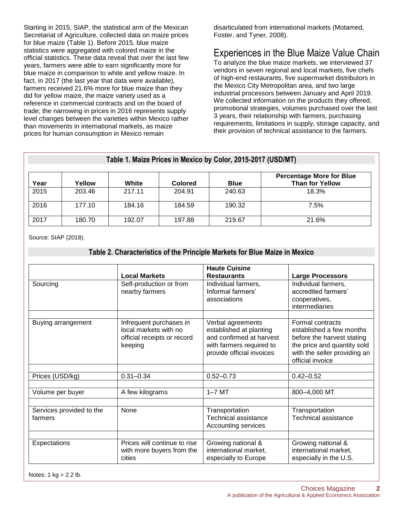Starting in 2015, SIAP, the statistical arm of the Mexican Secretariat of Agriculture, collected data on maize prices for blue maize (Table 1). Before 2015, blue maize statistics were aggregated with colored maize in the official statistics. These data reveal that over the last few years, farmers were able to earn significantly more for blue maize in comparison to white and yellow maize. In fact, in 2017 (the last year that data were available), farmers received 21.6% more for blue maize than they did for yellow maize, the maize variety used as a reference in commercial contracts and on the board of trade; the narrowing in prices in 2016 represents supply level changes between the varieties within Mexico rather than movements in international markets, as maize prices for human consumption in Mexico remain

disarticulated from international markets (Motamed, Foster, and Tyner, 2008).

# Experiences in the Blue Maize Value Chain

To analyze the blue maize markets, we interviewed 37 vendors in seven regional and local markets, five chefs of high-end restaurants, five supermarket distributors in the Mexico City Metropolitan area, and two large industrial processors between January and April 2019. We collected information on the products they offered, promotional strategies, volumes purchased over the last 3 years, their relationship with farmers, purchasing requirements, limitations in supply, storage capacity, and their provision of technical assistance to the farmers.

| Table 1. Maize Prices in Mexico by Color, 2015-2017 (USD/MT) |        |        |                |             |                                                           |  |  |  |
|--------------------------------------------------------------|--------|--------|----------------|-------------|-----------------------------------------------------------|--|--|--|
| Year                                                         | Yellow | White  | <b>Colored</b> | <b>Blue</b> | <b>Percentage More for Blue</b><br><b>Than for Yellow</b> |  |  |  |
| 2015                                                         | 203.46 | 217.11 | 204.91         | 240.63      | 18.3%                                                     |  |  |  |
| 2016                                                         | 177.10 | 184.16 | 184.59         | 190.32      | 7.5%                                                      |  |  |  |
| 2017                                                         | 180.70 | 192.07 | 197.88         | 219.67      | 21.6%                                                     |  |  |  |

Source: SIAP (2018).

### **Table 2. Characteristics of the Principle Markets for Blue Maize in Mexico**

|                                     | <b>Local Markets</b>                                                                       | <b>Haute Cuisine</b><br><b>Restaurants</b>                                                                                        | <b>Large Processors</b>                                                                                                                                       |
|-------------------------------------|--------------------------------------------------------------------------------------------|-----------------------------------------------------------------------------------------------------------------------------------|---------------------------------------------------------------------------------------------------------------------------------------------------------------|
| Sourcing                            | Self-production or from<br>nearby farmers                                                  | Individual farmers,<br>Informal farmers'<br>associations                                                                          | Individual farmers,<br>accredited farmers'<br>cooperatives,<br>intermediaries                                                                                 |
|                                     |                                                                                            |                                                                                                                                   |                                                                                                                                                               |
| Buying arrangement                  | Infrequent purchases in<br>local markets with no<br>official receipts or record<br>keeping | Verbal agreements<br>established at planting<br>and confirmed at harvest<br>with farmers required to<br>provide official invoices | Formal contracts<br>established a few months<br>before the harvest stating<br>the price and quantity sold<br>with the seller providing an<br>official invoice |
|                                     |                                                                                            |                                                                                                                                   |                                                                                                                                                               |
| Prices (USD/kg)                     | $0.31 - 0.34$                                                                              | $0.52 - 0.73$                                                                                                                     | $0.42 - 0.52$                                                                                                                                                 |
| Volume per buyer                    | A few kilograms                                                                            | $1-7$ MT                                                                                                                          | 800-4,000 MT                                                                                                                                                  |
| Services provided to the<br>farmers | None                                                                                       | Transportation<br>Technical assistance<br>Accounting services                                                                     | Transportation<br>Technical assistance                                                                                                                        |
| Expectations                        | Prices will continue to rise<br>with more buyers from the<br>cities                        | Growing national &<br>international market,<br>especially to Europe                                                               | Growing national &<br>international market,<br>especially in the U.S.                                                                                         |

Notes:  $1 \text{ kg} = 2.2 \text{ lb}.$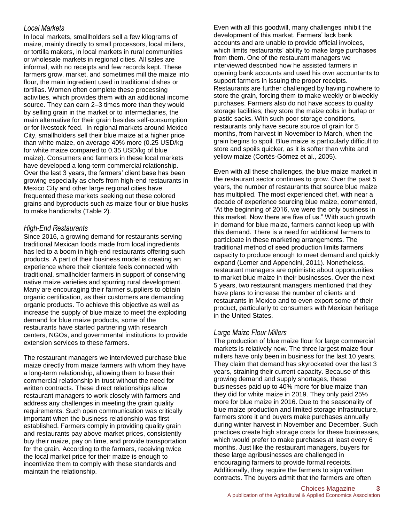### *Local Markets*

In local markets, smallholders sell a few kilograms of maize, mainly directly to small processors, local millers, or tortilla makers, in local markets in rural communities or wholesale markets in regional cities. All sales are informal, with no receipts and few records kept. These farmers grow, market, and sometimes mill the maize into flour, the main ingredient used in traditional dishes or tortillas. Women often complete these processing activities, which provides them with an additional income source. They can earn 2–3 times more than they would by selling grain in the market or to intermediaries, the main alternative for their grain besides self-consumption or for livestock feed. In regional markets around Mexico City, smallholders sell their blue maize at a higher price than white maize, on average 40% more (0.25 USD/kg for white maize compared to 0.35 USD/kg of blue maize). Consumers and farmers in these local markets have developed a long-term commercial relationship. Over the last 3 years, the farmers' client base has been growing especially as chefs from high-end restaurants in Mexico City and other large regional cities have frequented these markets seeking out these colored grains and byproducts such as maize flour or blue husks to make handicrafts (Table 2).

### *High-End Restaurants*

Since 2016, a growing demand for restaurants serving traditional Mexican foods made from local ingredients has led to a boom in high-end restaurants offering such products. A part of their business model is creating an experience where their clientele feels connected with traditional, smallholder farmers in support of conserving native maize varieties and spurring rural development. Many are encouraging their farmer suppliers to obtain organic certification, as their customers are demanding organic products. To achieve this objective as well as increase the supply of blue maize to meet the exploding demand for blue maize products, some of the restaurants have started partnering with research centers, NGOs, and governmental institutions to provide extension services to these farmers.

The restaurant managers we interviewed purchase blue maize directly from maize farmers with whom they have a long-term relationship, allowing them to base their commercial relationship in trust without the need for written contracts. These direct relationships allow restaurant managers to work closely with farmers and address any challenges in meeting the grain quality requirements. Such open communication was critically important when the business relationship was first established. Farmers comply in providing quality grain and restaurants pay above market prices, consistently buy their maize, pay on time, and provide transportation for the grain. According to the farmers, receiving twice the local market price for their maize is enough to incentivize them to comply with these standards and maintain the relationship.

Even with all this goodwill, many challenges inhibit the development of this market. Farmers' lack bank accounts and are unable to provide official invoices, which limits restaurants' ability to make large purchases from them. One of the restaurant managers we interviewed described how he assisted farmers in opening bank accounts and used his own accountants to support farmers in issuing the proper receipts. Restaurants are further challenged by having nowhere to store the grain, forcing them to make weekly or biweekly purchases. Farmers also do not have access to quality storage facilities; they store the maize cobs in burlap or plastic sacks. With such poor storage conditions, restaurants only have secure source of grain for 5 months, from harvest in November to March, when the grain begins to spoil. Blue maize is particularly difficult to store and spoils quicker, as it is softer than white and yellow maize (Cortés-Gómez et al., 2005).

Even with all these challenges, the blue maize market in the restaurant sector continues to grow. Over the past 5 years, the number of restaurants that source blue maize has multiplied. The most experienced chef, with near a decade of experience sourcing blue maize, commented, "At the beginning of 2016, we were the only business in this market. Now there are five of us." With such growth in demand for blue maize, farmers cannot keep up with this demand. There is a need for additional farmers to participate in these marketing arrangements. The traditional method of seed production limits farmers' capacity to produce enough to meet demand and quickly expand (Lerner and Appendini, 2011). Nonetheless, restaurant managers are optimistic about opportunities to market blue maize in their businesses. Over the next 5 years, two restaurant managers mentioned that they have plans to increase the number of clients and restaurants in Mexico and to even export some of their product, particularly to consumers with Mexican heritage in the United States.

#### *Large Maize Flour Millers*

The production of blue maize flour for large commercial markets is relatively new. The three largest maize flour millers have only been in business for the last 10 years. They claim that demand has skyrocketed over the last 3 years, straining their current capacity. Because of this growing demand and supply shortages, these businesses paid up to 40% more for blue maize than they did for white maize in 2019. They only paid 25% more for blue maize in 2016. Due to the seasonality of blue maize production and limited storage infrastructure, farmers store it and buyers make purchases annually during winter harvest in November and December. Such practices create high storage costs for these businesses, which would prefer to make purchases at least every 6 months. Just like the restaurant managers, buyers for these large agribusinesses are challenged in encouraging farmers to provide formal receipts. Additionally, they require the farmers to sign written contracts. The buyers admit that the farmers are often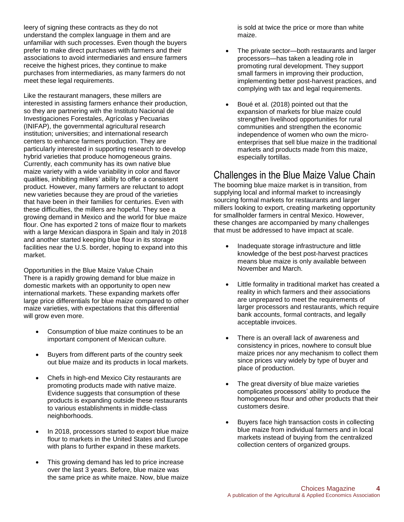leery of signing these contracts as they do not understand the complex language in them and are unfamiliar with such processes. Even though the buyers prefer to make direct purchases with farmers and their associations to avoid intermediaries and ensure farmers receive the highest prices, they continue to make purchases from intermediaries, as many farmers do not meet these legal requirements.

Like the restaurant managers, these millers are interested in assisting farmers enhance their production, so they are partnering with the Instituto Nacional de Investigaciones Forestales, Agrícolas y Pecuarias (INIFAP), the governmental agricultural research institution; universities; and international research centers to enhance farmers production. They are particularly interested in supporting research to develop hybrid varieties that produce homogeneous grains. Currently, each community has its own native blue maize variety with a wide variability in color and flavor qualities, inhibiting millers' ability to offer a consistent product. However, many farmers are reluctant to adopt new varieties because they are proud of the varieties that have been in their families for centuries. Even with these difficulties, the millers are hopeful. They see a growing demand in Mexico and the world for blue maize flour. One has exported 2 tons of maize flour to markets with a large Mexican diaspora in Spain and Italy in 2018 and another started keeping blue flour in its storage facilities near the U.S. border, hoping to expand into this market.

Opportunities in the Blue Maize Value Chain There is a rapidly growing demand for blue maize in domestic markets with an opportunity to open new international markets. These expanding markets offer large price differentials for blue maize compared to other maize varieties, with expectations that this differential will grow even more.

- Consumption of blue maize continues to be an important component of Mexican culture.
- Buyers from different parts of the country seek out blue maize and its products in local markets.
- Chefs in high-end Mexico City restaurants are promoting products made with native maize. Evidence suggests that consumption of these products is expanding outside these restaurants to various establishments in middle-class neighborhoods.
- In 2018, processors started to export blue maize flour to markets in the United States and Europe with plans to further expand in these markets.
- This growing demand has led to price increase over the last 3 years. Before, blue maize was the same price as white maize. Now, blue maize

is sold at twice the price or more than white maize.

- The private sector—both restaurants and larger processors—has taken a leading role in promoting rural development. They support small farmers in improving their production, implementing better post-harvest practices, and complying with tax and legal requirements.
- Boué et al. (2018) pointed out that the expansion of markets for blue maize could strengthen livelihood opportunities for rural communities and strengthen the economic independence of women who own the microenterprises that sell blue maize in the traditional markets and products made from this maize, especially tortillas.

### Challenges in the Blue Maize Value Chain

The booming blue maize market is in transition, from supplying local and informal market to increasingly sourcing formal markets for restaurants and larger millers looking to export, creating marketing opportunity for smallholder farmers in central Mexico. However, these changes are accompanied by many challenges that must be addressed to have impact at scale.

- Inadequate storage infrastructure and little knowledge of the best post-harvest practices means blue maize is only available between November and March.
- Little formality in traditional market has created a reality in which farmers and their associations are unprepared to meet the requirements of larger processors and restaurants, which require bank accounts, formal contracts, and legally acceptable invoices.
- There is an overall lack of awareness and consistency in prices, nowhere to consult blue maize prices nor any mechanism to collect them since prices vary widely by type of buyer and place of production.
- The great diversity of blue maize varieties complicates processors' ability to produce the homogeneous flour and other products that their customers desire.
- Buyers face high transaction costs in collecting blue maize from individual farmers and in local markets instead of buying from the centralized collection centers of organized groups.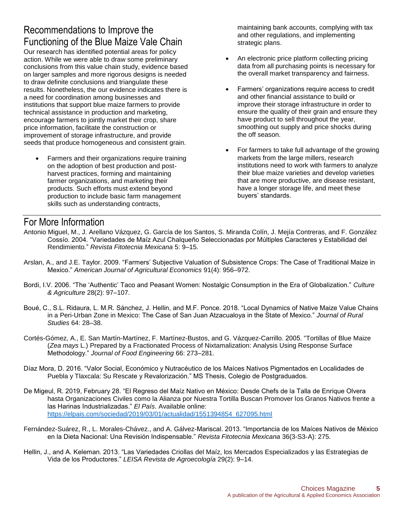## Recommendations to Improve the Functioning of the Blue Maize Vale Chain

Our research has identified potential areas for policy action. While we were able to draw some preliminary conclusions from this value chain study, evidence based on larger samples and more rigorous designs is needed to draw definite conclusions and triangulate these results. Nonetheless, the our evidence indicates there is a need for coordination among businesses and institutions that support blue maize farmers to provide technical assistance in production and marketing, encourage farmers to jointly market their crop, share price information, facilitate the construction or improvement of storage infrastructure, and provide seeds that produce homogeneous and consistent grain.

 Farmers and their organizations require training on the adoption of best production and postharvest practices, forming and maintaining farmer organizations, and marketing their products. Such efforts must extend beyond production to include basic farm management skills such as understanding contracts,

maintaining bank accounts, complying with tax and other regulations, and implementing strategic plans.

- An electronic price platform collecting pricing data from all purchasing points is necessary for the overall market transparency and fairness.
- Farmers' organizations require access to credit and other financial assistance to build or improve their storage infrastructure in order to ensure the quality of their grain and ensure they have product to sell throughout the year, smoothing out supply and price shocks during the off season.
- For farmers to take full advantage of the growing markets from the large millers, research institutions need to work with farmers to analyze their blue maize varieties and develop varieties that are more productive, are disease resistant, have a longer storage life, and meet these buyers' standards.

### For More Information

- Antonio Miguel, M., J. Arellano Vázquez, G. García de los Santos, S. Miranda Colín, J. Mejía Contreras, and F. González Cossío. 2004. "Variedades de Maíz Azul Chalqueño Seleccionadas por Múltiples Caracteres y Estabilidad del Rendimiento*.*" *Revista Fitotecnia Mexicana* 5: 9–15.
- Arslan, A., and J.E. Taylor. 2009. "Farmers' Subjective Valuation of Subsistence Crops: The Case of Traditional Maize in Mexico." *American Journal of Agricultural Economics* 91(4): 956–972.
- Bordi, I.V. 2006. "The 'Authentic' Taco and Peasant Women: Nostalgic Consumption in the Era of Globalization." *Culture & Agriculture* 28(2): 97–107.
- Boué, C., S.L. Ridaura, L. M.R. Sánchez, J. Hellin, and M.F. Ponce. 2018. "Local Dynamics of Native Maize Value Chains in a Peri-Urban Zone in Mexico: The Case of San Juan Atzacualoya in the State of Mexico." *Journal of Rural Studies* 64: 28–38.
- Cortés-Gómez, A., E. San Martín-Martínez, F. Martínez-Bustos, and G. Vázquez-Carrillo. 2005. "Tortillas of Blue Maize (*Zea mays* L.) Prepared by a Fractionated Process of Nixtamalization: Analysis Using Response Surface Methodology." *Journal of Food Engineering* 66: 273–281.
- Díaz Mora, D. 2016. "Valor Social, Económico y Nutracéutico de los Maíces Nativos Pigmentados en Localidades de Puebla y Tlaxcala: Su Rescate y Revalorización." MS Thesis, Colegio de Postgraduados.
- De Migeul, R. 2019, February 28. "El Regreso del Maíz Nativo en México: Desde Chefs de la Talla de Enrique Olvera hasta Organizaciones Civiles como la Alianza por Nuestra Tortilla Buscan Promover los Granos Nativos frente a las Harinas Industrializadas." *El País*. Available online: [https://elpais.com/sociedad/2019/03/01/actualidad/1551394854\\_627095.html](https://elpais.com/sociedad/2019/03/01/actualidad/1551394854_627095.html)
- Fernández-Suárez, R., L. Morales-Chávez., and A. Gálvez-Mariscal. 2013. "Importancia de los Maíces Nativos de México en la Dieta Nacional: Una Revisión Indispensable." *Revista Fitotecnia Mexicana* 36(3-S3-A): 275.
- Hellin, J., and A. Keleman. 2013. "Las Variedades Criollas del Maíz, los Mercados Especializados y las Estrategias de Vida de los Productores." *LEISA Revista de Agroecología* 29(2): 9–14.